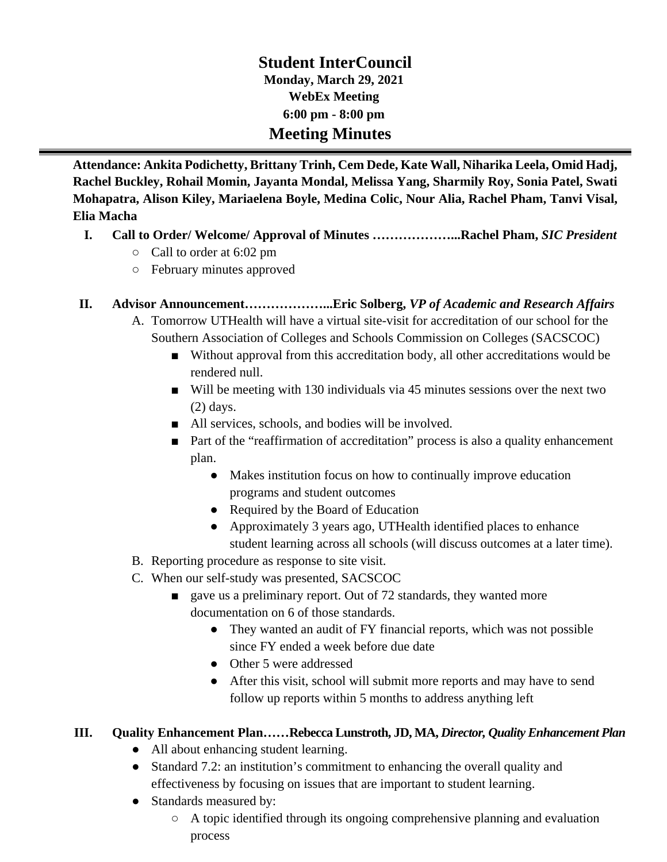# **Student InterCouncil Monday, March 29, 2021 WebEx Meeting 6:00 pm - 8:00 pm Meeting Minutes**

**Attendance: Ankita Podichetty, Brittany Trinh, Cem Dede, Kate Wall, Niharika Leela, Omid Hadj, Rachel Buckley, Rohail Momin, Jayanta Mondal, Melissa Yang, Sharmily Roy, Sonia Patel, Swati Mohapatra, Alison Kiley, Mariaelena Boyle, Medina Colic, Nour Alia, Rachel Pham, Tanvi Visal, Elia Macha**

#### **I. Call to Order/ Welcome/ Approval of Minutes ………………...Rachel Pham,** *SIC President*

- Call to order at 6:02 pm
- February minutes approved

#### **II. Advisor Announcement………………...Eric Solberg,** *VP of Academic and Research Affairs*

- A. Tomorrow UTHealth will have a virtual site-visit for accreditation of our school for the Southern Association of Colleges and Schools Commission on Colleges (SACSCOC)
	- Without approval from this accreditation body, all other accreditations would be rendered null.
	- Will be meeting with 130 individuals via 45 minutes sessions over the next two (2) days.
	- All services, schools, and bodies will be involved.
	- Part of the "reaffirmation of accreditation" process is also a quality enhancement plan.
		- Makes institution focus on how to continually improve education programs and student outcomes
		- Required by the Board of Education
		- Approximately 3 years ago, UTHealth identified places to enhance student learning across all schools (will discuss outcomes at a later time).
- B. Reporting procedure as response to site visit.
- C. When our self-study was presented, SACSCOC
	- gave us a preliminary report. Out of 72 standards, they wanted more documentation on 6 of those standards.
		- They wanted an audit of FY financial reports, which was not possible since FY ended a week before due date
		- Other 5 were addressed
		- After this visit, school will submit more reports and may have to send follow up reports within 5 months to address anything left

## **III. Quality Enhancement Plan……Rebecca Lunstroth, JD, MA,** *Director, Quality Enhancement Plan*

- All about enhancing student learning.
- Standard 7.2: an institution's commitment to enhancing the overall quality and effectiveness by focusing on issues that are important to student learning.
- Standards measured by:
	- A topic identified through its ongoing comprehensive planning and evaluation process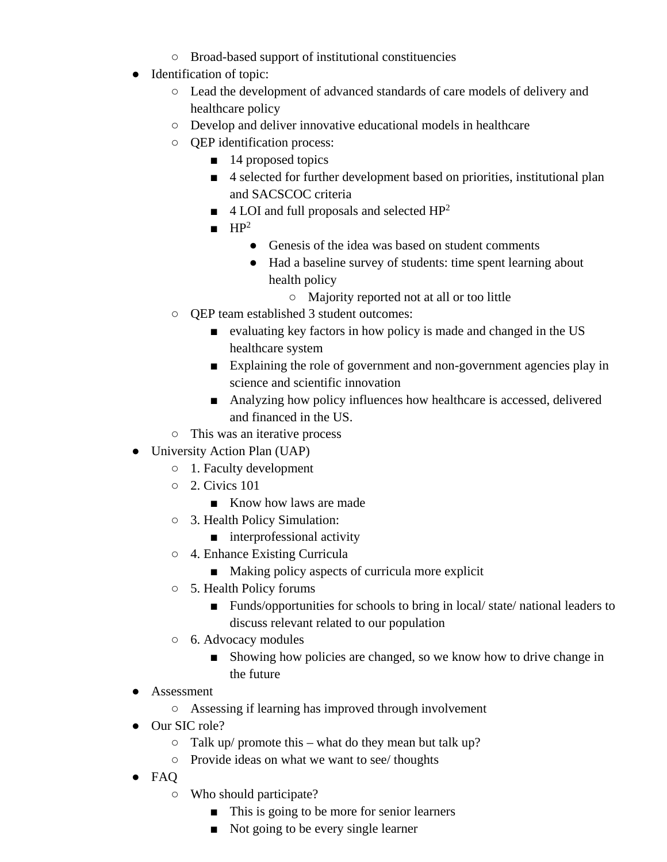- Broad-based support of institutional constituencies
- Identification of topic:
	- Lead the development of advanced standards of care models of delivery and healthcare policy
	- Develop and deliver innovative educational models in healthcare
	- QEP identification process:
		- 14 proposed topics
		- 4 selected for further development based on priorities, institutional plan and SACSCOC criteria
		- $\blacksquare$  4 LOI and full proposals and selected HP<sup>2</sup>
		- $\blacksquare$  HP<sup>2</sup>
			- Genesis of the idea was based on student comments
			- Had a baseline survey of students: time spent learning about health policy
				- Majority reported not at all or too little
	- QEP team established 3 student outcomes:
		- evaluating key factors in how policy is made and changed in the US healthcare system
		- Explaining the role of government and non-government agencies play in science and scientific innovation
		- Analyzing how policy influences how healthcare is accessed, delivered and financed in the US.
	- This was an iterative process
- University Action Plan (UAP)
	- 1. Faculty development
	- 2. Civics 101
		- Know how laws are made
	- 3. Health Policy Simulation:
		- interprofessional activity
	- 4. Enhance Existing Curricula
		- Making policy aspects of curricula more explicit
	- 5. Health Policy forums
		- Funds/opportunities for schools to bring in local/ state/ national leaders to discuss relevant related to our population
	- 6. Advocacy modules
		- Showing how policies are changed, so we know how to drive change in the future
- Assessment
	- Assessing if learning has improved through involvement
- Our SIC role?
	- $\circ$  Talk up/ promote this what do they mean but talk up?
	- Provide ideas on what we want to see/ thoughts
- FAQ
	- Who should participate?
		- This is going to be more for senior learners
		- Not going to be every single learner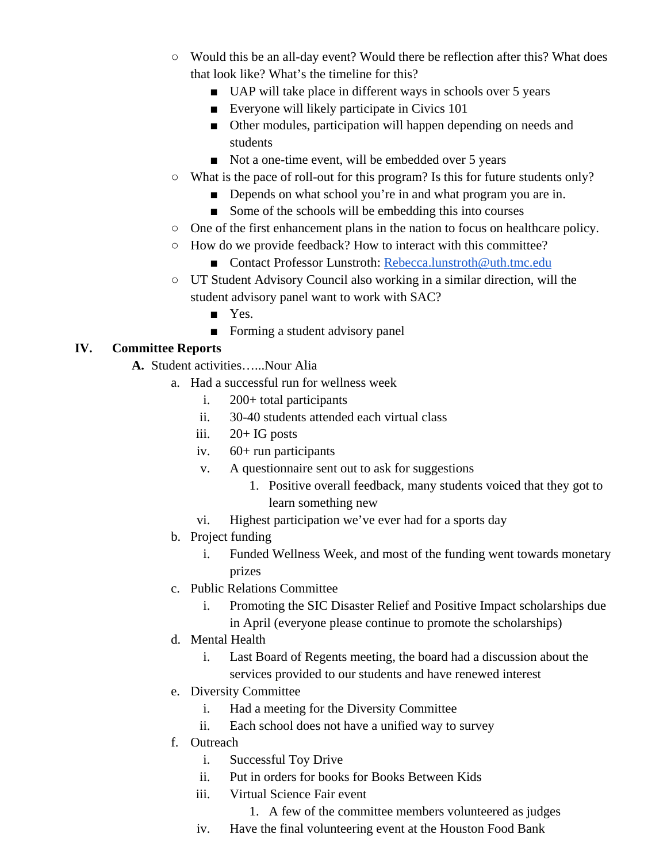- Would this be an all-day event? Would there be reflection after this? What does that look like? What's the timeline for this?
	- UAP will take place in different ways in schools over 5 years
	- Everyone will likely participate in Civics 101
	- Other modules, participation will happen depending on needs and students
	- Not a one-time event, will be embedded over 5 years
- What is the pace of roll-out for this program? Is this for future students only?
	- Depends on what school you're in and what program you are in.
	- Some of the schools will be embedding this into courses
- One of the first enhancement plans in the nation to focus on healthcare policy.
- How do we provide feedback? How to interact with this committee?
	- Contact Professor Lunstroth: [Rebecca.lunstroth@uth.tmc.edu](mailto:Rebecca.lunstroth@uth.tmc.edu)
- UT Student Advisory Council also working in a similar direction, will the student advisory panel want to work with SAC?
	- Yes.
	- Forming a student advisory panel

# **IV. Committee Reports**

- **A.** Student activities…...Nour Alia
	- a. Had a successful run for wellness week
		- i. 200+ total participants
		- ii. 30-40 students attended each virtual class
		- iii. 20+ IG posts
		- iv. 60+ run participants
		- v. A questionnaire sent out to ask for suggestions
			- 1. Positive overall feedback, many students voiced that they got to learn something new
		- vi. Highest participation we've ever had for a sports day
	- b. Project funding
		- i. Funded Wellness Week, and most of the funding went towards monetary prizes
	- c. Public Relations Committee
		- i. Promoting the SIC Disaster Relief and Positive Impact scholarships due in April (everyone please continue to promote the scholarships)
	- d. Mental Health
		- i. Last Board of Regents meeting, the board had a discussion about the services provided to our students and have renewed interest
	- e. Diversity Committee
		- i. Had a meeting for the Diversity Committee
		- ii. Each school does not have a unified way to survey
	- f. Outreach
		- i. Successful Toy Drive
		- ii. Put in orders for books for Books Between Kids
		- iii. Virtual Science Fair event
			- 1. A few of the committee members volunteered as judges
		- iv. Have the final volunteering event at the Houston Food Bank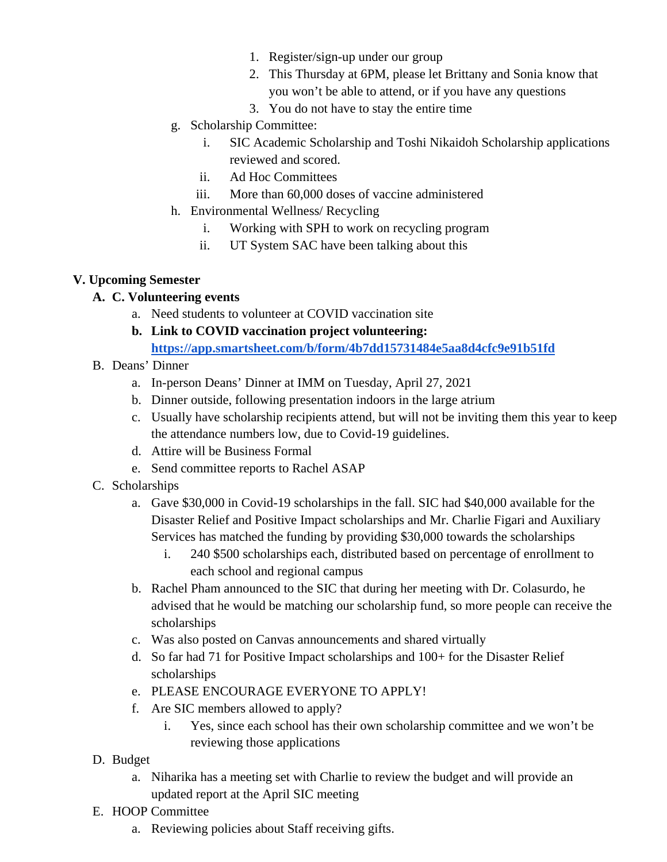- 1. Register/sign-up under our group
- 2. This Thursday at 6PM, please let Brittany and Sonia know that you won't be able to attend, or if you have any questions
- 3. You do not have to stay the entire time
- g. Scholarship Committee:
	- i. SIC Academic Scholarship and Toshi Nikaidoh Scholarship applications reviewed and scored.
	- ii. Ad Hoc Committees
	- iii. More than 60,000 doses of vaccine administered
- h. Environmental Wellness/ Recycling
	- i. Working with SPH to work on recycling program
	- ii. UT System SAC have been talking about this

#### **V. Upcoming Semester**

#### **A. C. Volunteering events**

- a. Need students to volunteer at COVID vaccination site
- **b. Link to COVID vaccination project volunteering: <https://app.smartsheet.com/b/form/4b7dd15731484e5aa8d4cfc9e91b51fd>**
- B. Deans' Dinner
	- a. In-person Deans' Dinner at IMM on Tuesday, April 27, 2021
	- b. Dinner outside, following presentation indoors in the large atrium
	- c. Usually have scholarship recipients attend, but will not be inviting them this year to keep the attendance numbers low, due to Covid-19 guidelines.
	- d. Attire will be Business Formal
	- e. Send committee reports to Rachel ASAP
- C. Scholarships
	- a. Gave \$30,000 in Covid-19 scholarships in the fall. SIC had \$40,000 available for the Disaster Relief and Positive Impact scholarships and Mr. Charlie Figari and Auxiliary Services has matched the funding by providing \$30,000 towards the scholarships
		- i. 240 \$500 scholarships each, distributed based on percentage of enrollment to each school and regional campus
	- b. Rachel Pham announced to the SIC that during her meeting with Dr. Colasurdo, he advised that he would be matching our scholarship fund, so more people can receive the scholarships
	- c. Was also posted on Canvas announcements and shared virtually
	- d. So far had 71 for Positive Impact scholarships and 100+ for the Disaster Relief scholarships
	- e. PLEASE ENCOURAGE EVERYONE TO APPLY!
	- f. Are SIC members allowed to apply?
		- i. Yes, since each school has their own scholarship committee and we won't be reviewing those applications
- D. Budget
	- a. Niharika has a meeting set with Charlie to review the budget and will provide an updated report at the April SIC meeting
- E. HOOP Committee
	- a. Reviewing policies about Staff receiving gifts.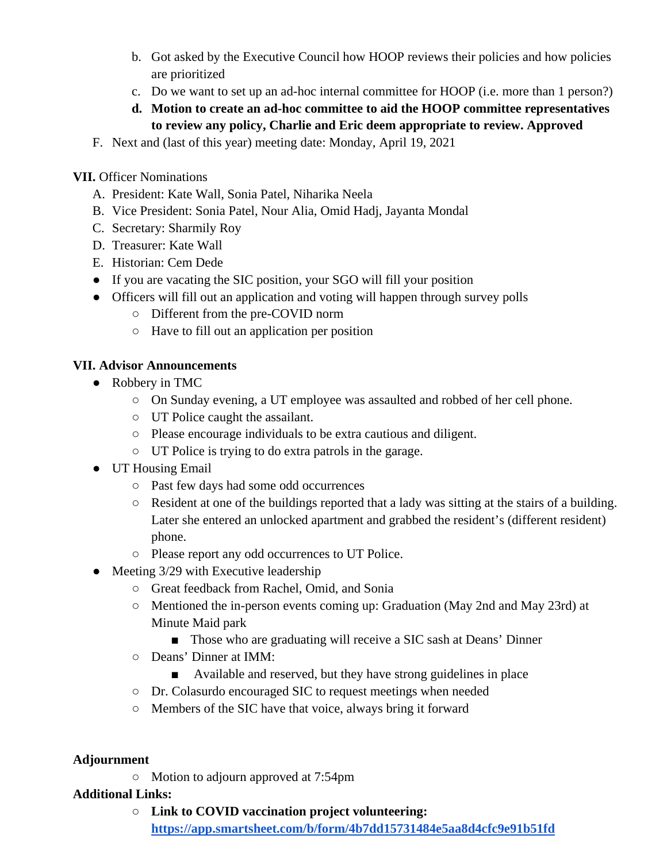- b. Got asked by the Executive Council how HOOP reviews their policies and how policies are prioritized
- c. Do we want to set up an ad-hoc internal committee for HOOP (i.e. more than 1 person?)
- **d. Motion to create an ad-hoc committee to aid the HOOP committee representatives to review any policy, Charlie and Eric deem appropriate to review. Approved**
- F. Next and (last of this year) meeting date: Monday, April 19, 2021

**VII.** Officer Nominations

- A. President: Kate Wall, Sonia Patel, Niharika Neela
- B. Vice President: Sonia Patel, Nour Alia, Omid Hadj, Jayanta Mondal
- C. Secretary: Sharmily Roy
- D. Treasurer: Kate Wall
- E. Historian: Cem Dede
- If you are vacating the SIC position, your SGO will fill your position
- Officers will fill out an application and voting will happen through survey polls
	- Different from the pre-COVID norm
	- Have to fill out an application per position

# **VII. Advisor Announcements**

- Robbery in TMC
	- On Sunday evening, a UT employee was assaulted and robbed of her cell phone.
	- UT Police caught the assailant.
	- Please encourage individuals to be extra cautious and diligent.
	- UT Police is trying to do extra patrols in the garage.
- UT Housing Email
	- Past few days had some odd occurrences
	- Resident at one of the buildings reported that a lady was sitting at the stairs of a building. Later she entered an unlocked apartment and grabbed the resident's (different resident) phone.
	- Please report any odd occurrences to UT Police.
- Meeting 3/29 with Executive leadership
	- Great feedback from Rachel, Omid, and Sonia
	- Mentioned the in-person events coming up: Graduation (May 2nd and May 23rd) at Minute Maid park
		- Those who are graduating will receive a SIC sash at Deans' Dinner
	- Deans' Dinner at IMM:
		- Available and reserved, but they have strong guidelines in place
	- Dr. Colasurdo encouraged SIC to request meetings when needed
	- Members of the SIC have that voice, always bring it forward

## **Adjournment**

○ Motion to adjourn approved at 7:54pm

## **Additional Links:**

○ **Link to COVID vaccination project volunteering: <https://app.smartsheet.com/b/form/4b7dd15731484e5aa8d4cfc9e91b51fd>**